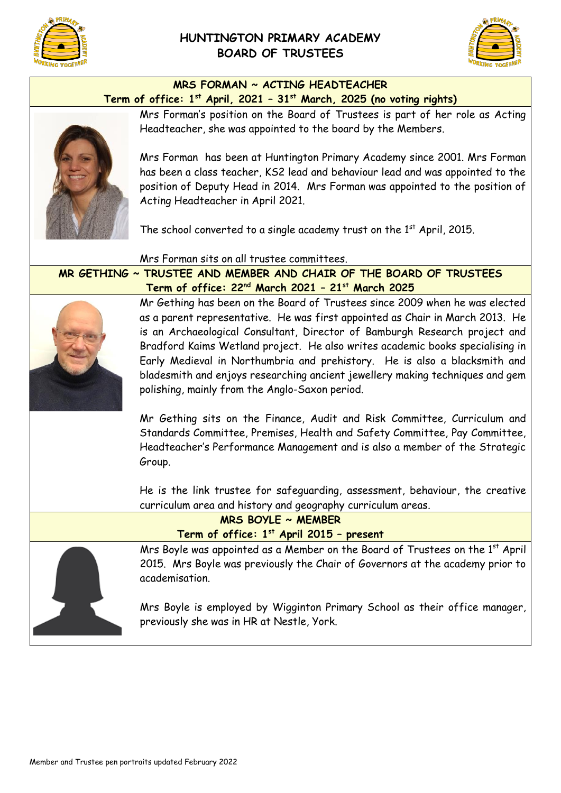

## **HUNTINGTON PRIMARY ACADEMY BOARD OF TRUSTEES**



#### **MRS FORMAN ~ ACTING HEADTEACHER Term of office: 1 st April, 2021 – 31st March, 2025 (no voting rights)**



Mrs Forman's position on the Board of Trustees is part of her role as Acting Headteacher, she was appointed to the board by the Members.

Mrs Forman has been at Huntington Primary Academy since 2001. Mrs Forman has been a class teacher, KS2 lead and behaviour lead and was appointed to the position of Deputy Head in 2014. Mrs Forman was appointed to the position of Acting Headteacher in April 2021.

The school converted to a single academy trust on the  $1<sup>st</sup>$  April, 2015.

Mrs Forman sits on all trustee committees.

**MR GETHING ~ TRUSTEE AND MEMBER AND CHAIR OF THE BOARD OF TRUSTEES Term of office: 22nd March 2021 – 21st March 2025**



Mr Gething has been on the Board of Trustees since 2009 when he was elected as a parent representative. He was first appointed as Chair in March 2013. He is an Archaeological Consultant, Director of Bamburgh Research project and Bradford Kaims Wetland project. He also writes academic books specialising in Early Medieval in Northumbria and prehistory. He is also a blacksmith and bladesmith and enjoys researching ancient jewellery making techniques and gem polishing, mainly from the Anglo-Saxon period.

Mr Gething sits on the Finance, Audit and Risk Committee, Curriculum and Standards Committee, Premises, Health and Safety Committee, Pay Committee, Headteacher's Performance Management and is also a member of the Strategic Group.

He is the link trustee for safeguarding, assessment, behaviour, the creative curriculum area and history and geography curriculum areas.

|                                          | MRS BOYLE ~ MEMBER                                                                                                                                                               |
|------------------------------------------|----------------------------------------------------------------------------------------------------------------------------------------------------------------------------------|
| Term of office: 1st April 2015 - present |                                                                                                                                                                                  |
|                                          | Mrs Boyle was appointed as a Member on the Board of Trustees on the 1st April<br>2015. Mrs Boyle was previously the Chair of Governors at the academy prior to<br>academisation. |
|                                          | Mrs Boyle is employed by Wigginton Primary School as their office manager,<br>previously she was in HR at Nestle, York.                                                          |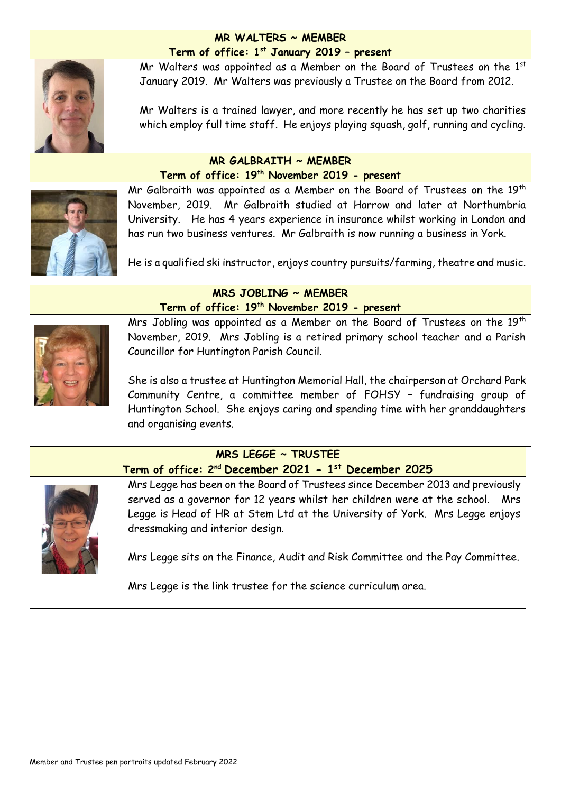#### **MR WALTERS ~ MEMBER Term of office: 1st January 2019 – present**



Mr Walters was appointed as a Member on the Board of Trustees on the 1st January 2019. Mr Walters was previously a Trustee on the Board from 2012.

Mr Walters is a trained lawyer, and more recently he has set up two charities which employ full time staff. He enjoys playing squash, golf, running and cycling.

#### **MR GALBRAITH ~ MEMBER Term of office: 19th November 2019 - present**



Mr Galbraith was appointed as a Member on the Board of Trustees on the 19<sup>th</sup> November, 2019. Mr Galbraith studied at Harrow and later at Northumbria University. He has 4 years experience in insurance whilst working in London and has run two business ventures. Mr Galbraith is now running a business in York.

He is a qualified ski instructor, enjoys country pursuits/farming, theatre and music.

#### **MRS JOBLING ~ MEMBER Term of office: 19th November 2019 - present**



Mrs Jobling was appointed as a Member on the Board of Trustees on the 19<sup>th</sup> November, 2019. Mrs Jobling is a retired primary school teacher and a Parish Councillor for Huntington Parish Council.

She is also a trustee at Huntington Memorial Hall, the chairperson at Orchard Park Community Centre, a committee member of FOHSY – fundraising group of Huntington School. She enjoys caring and spending time with her granddaughters and organising events.

# **MRS LEGGE ~ TRUSTEE**

**Term of office: 2nd December 2021 - 1 st December 2025**



Mrs Legge has been on the Board of Trustees since December 2013 and previously served as a governor for 12 years whilst her children were at the school. Mrs Legge is Head of HR at Stem Ltd at the University of York. Mrs Legge enjoys dressmaking and interior design.

Mrs Legge sits on the Finance, Audit and Risk Committee and the Pay Committee.

Mrs Legge is the link trustee for the science curriculum area.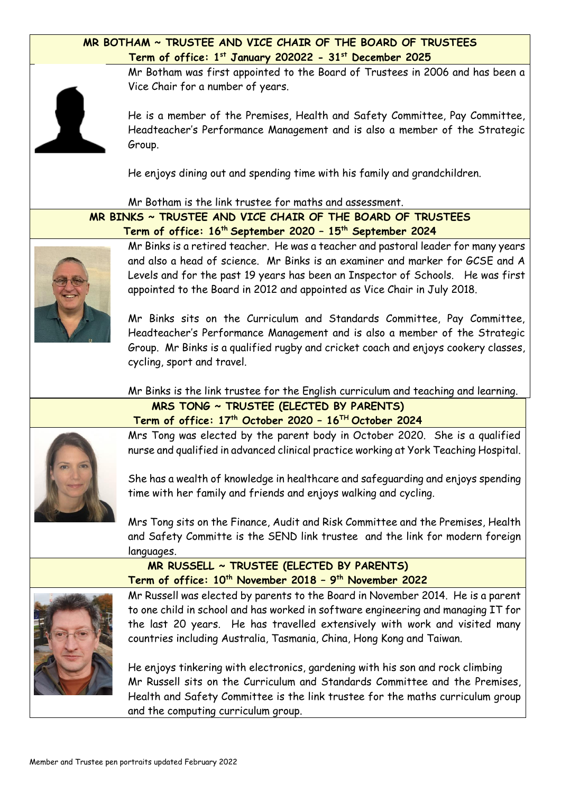#### **MR BOTHAM ~ TRUSTEE AND VICE CHAIR OF THE BOARD OF TRUSTEES Term of office: 1st January 202022 - 31st December 2025**

Mr Botham was first appointed to the Board of Trustees in 2006 and has been a Vice Chair for a number of years.

He is a member of the Premises, Health and Safety Committee, Pay Committee, Headteacher's Performance Management and is also a member of the Strategic Group.

He enjoys dining out and spending time with his family and grandchildren.

Mr Botham is the link trustee for maths and assessment.

**MR BINKS ~ TRUSTEE AND VICE CHAIR OF THE BOARD OF TRUSTEES Term of office: 16th September 2020 – 15th September 2024**

Mr Binks is a retired teacher. He was a teacher and pastoral leader for many years and also a head of science. Mr Binks is an examiner and marker for GCSE and A Levels and for the past 19 years has been an Inspector of Schools. He was first appointed to the Board in 2012 and appointed as Vice Chair in July 2018.

Mr Binks sits on the Curriculum and Standards Committee, Pay Committee, Headteacher's Performance Management and is also a member of the Strategic Group. Mr Binks is a qualified rugby and cricket coach and enjoys cookery classes, cycling, sport and travel.

Mr Binks is the link trustee for the English curriculum and teaching and learning.



# **MRS TONG ~ TRUSTEE (ELECTED BY PARENTS) Term of office: 17th October 2020 – 16TH October 2024**

Mrs Tong was elected by the parent body in October 2020. She is a qualified nurse and qualified in advanced clinical practice working at York Teaching Hospital.

She has a wealth of knowledge in healthcare and safeguarding and enjoys spending time with her family and friends and enjoys walking and cycling.

Mrs Tong sits on the Finance, Audit and Risk Committee and the Premises, Health and Safety Committe is the SEND link trustee and the link for modern foreign languages.

# **MR RUSSELL ~ TRUSTEE (ELECTED BY PARENTS) Term of office: 10th November 2018 – 9 th November 2022**



Mr Russell was elected by parents to the Board in November 2014. He is a parent to one child in school and has worked in software engineering and managing IT for the last 20 years. He has travelled extensively with work and visited many countries including Australia, Tasmania, China, Hong Kong and Taiwan.

He enjoys tinkering with electronics, gardening with his son and rock climbing Mr Russell sits on the Curriculum and Standards Committee and the Premises, Health and Safety Committee is the link trustee for the maths curriculum group and the computing curriculum group.